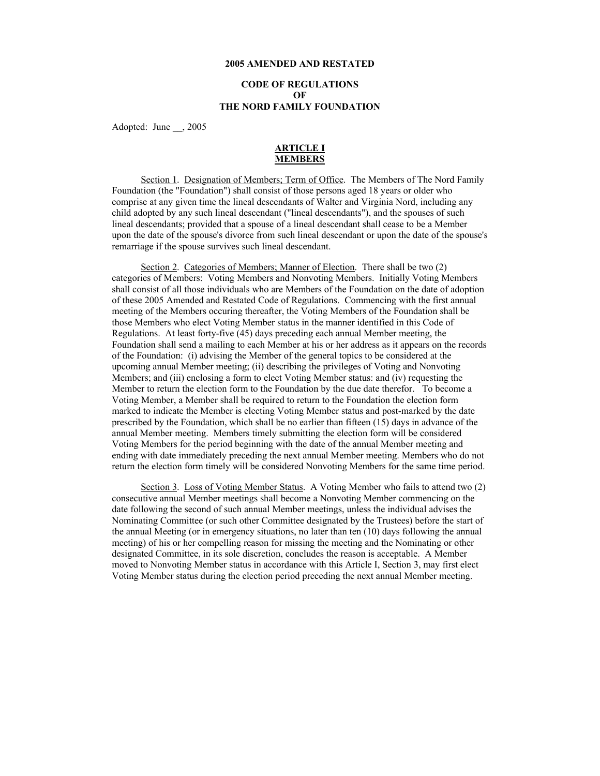#### **2005 AMENDED AND RESTATED**

# **CODE OF REGULATIONS OF THE NORD FAMILY FOUNDATION**

Adopted: June \_\_, 2005

#### **ARTICLE I MEMBERS**

Section 1. Designation of Members; Term of Office. The Members of The Nord Family Foundation (the "Foundation") shall consist of those persons aged 18 years or older who comprise at any given time the lineal descendants of Walter and Virginia Nord, including any child adopted by any such lineal descendant ("lineal descendants"), and the spouses of such lineal descendants; provided that a spouse of a lineal descendant shall cease to be a Member upon the date of the spouse's divorce from such lineal descendant or upon the date of the spouse's remarriage if the spouse survives such lineal descendant.

Section 2. Categories of Members; Manner of Election. There shall be two (2) categories of Members: Voting Members and Nonvoting Members. Initially Voting Members shall consist of all those individuals who are Members of the Foundation on the date of adoption of these 2005 Amended and Restated Code of Regulations. Commencing with the first annual meeting of the Members occuring thereafter, the Voting Members of the Foundation shall be those Members who elect Voting Member status in the manner identified in this Code of Regulations. At least forty-five (45) days preceding each annual Member meeting, the Foundation shall send a mailing to each Member at his or her address as it appears on the records of the Foundation: (i) advising the Member of the general topics to be considered at the upcoming annual Member meeting; (ii) describing the privileges of Voting and Nonvoting Members; and (iii) enclosing a form to elect Voting Member status: and (iv) requesting the Member to return the election form to the Foundation by the due date therefor. To become a Voting Member, a Member shall be required to return to the Foundation the election form marked to indicate the Member is electing Voting Member status and post-marked by the date prescribed by the Foundation, which shall be no earlier than fifteen (15) days in advance of the annual Member meeting. Members timely submitting the election form will be considered Voting Members for the period beginning with the date of the annual Member meeting and ending with date immediately preceding the next annual Member meeting. Members who do not return the election form timely will be considered Nonvoting Members for the same time period.

Section 3. Loss of Voting Member Status. A Voting Member who fails to attend two (2) consecutive annual Member meetings shall become a Nonvoting Member commencing on the date following the second of such annual Member meetings, unless the individual advises the Nominating Committee (or such other Committee designated by the Trustees) before the start of the annual Meeting (or in emergency situations, no later than ten (10) days following the annual meeting) of his or her compelling reason for missing the meeting and the Nominating or other designated Committee, in its sole discretion, concludes the reason is acceptable. A Member moved to Nonvoting Member status in accordance with this Article I, Section 3, may first elect Voting Member status during the election period preceding the next annual Member meeting.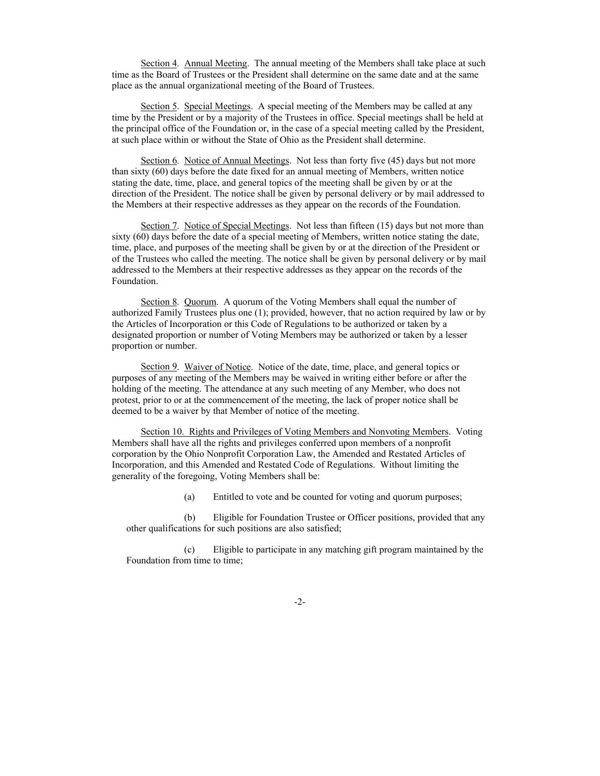Section 4. Annual Meeting. The annual meeting of the Members shall take place at such time as the Board of Trustees or the President shall determine on the same date and at the same place as the annual organizational meeting of the Board of Trustees.

Section 5. Special Meetings. A special meeting of the Members may be called at any time by the President or by a majority of the Trustees in office. Special meetings shall be held at the principal office of the Foundation or, in the case of a special meeting called by the President, at such place within or without the State of Ohio as the President shall determine.

Section 6. Notice of Annual Meetings. Not less than forty five (45) days but not more than sixty (60) days before the date fixed for an annual meeting of Members, written notice stating the date, time, place, and general topics of the meeting shall be given by or at the direction of the President. The notice shall be given by personal delivery or by mail addressed to the Members at their respective addresses as they appear on the records of the Foundation.

Section 7. Notice of Special Meetings. Not less than fifteen (15) days but not more than sixty (60) days before the date of a special meeting of Members, written notice stating the date, time, place, and purposes of the meeting shall be given by or at the direction of the President or of the Trustees who called the meeting. The notice shall be given by personal delivery or by mail addressed to the Members at their respective addresses as they appear on the records of the Foundation.

Section 8. Quorum. A quorum of the Voting Members shall equal the number of authorized Family Trustees plus one (1); provided, however, that no action required by law or by the Articles of Incorporation or this Code of Regulations to be authorized or taken by a designated proportion or number of Voting Members may be authorized or taken by a lesser proportion or number.

Section 9. Waiver of Notice. Notice of the date, time, place, and general topics or purposes of any meeting of the Members may be waived in writing either before or after the holding of the meeting. The attendance at any such meeting of any Member, who does not protest, prior to or at the commencement of the meeting, the lack of proper notice shall be deemed to be a waiver by that Member of notice of the meeting.

Section 10. Rights and Privileges of Voting Members and Nonvoting Members. Voting Members shall have all the rights and privileges conferred upon members of a nonprofit corporation by the Ohio Nonprofit Corporation Law, the Amended and Restated Articles of Incorporation, and this Amended and Restated Code of Regulations. Without limiting the generality of the foregoing, Voting Members shall be:

(a) Entitled to vote and be counted for voting and quorum purposes;

(b) Eligible for Foundation Trustee or Officer positions, provided that any other qualifications for such positions are also satisfied;

(c) Eligible to participate in any matching gift program maintained by the Foundation from time to time;

-2-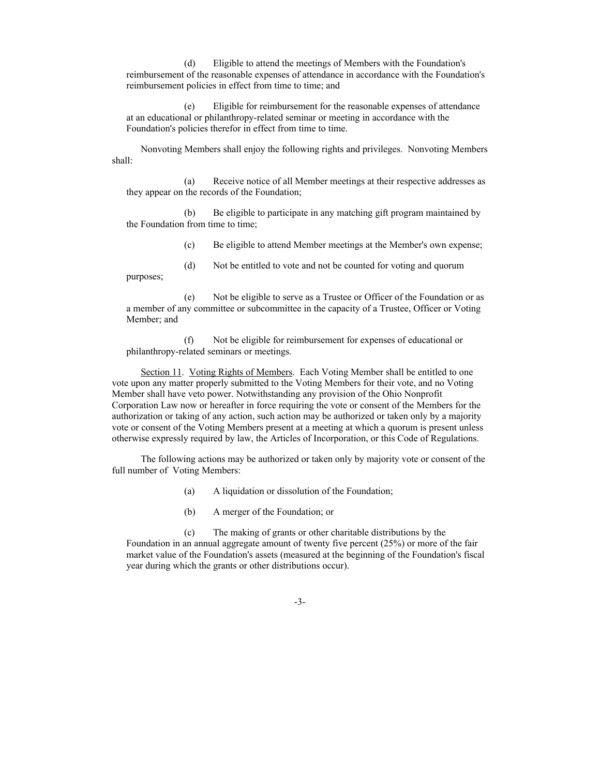(d) Eligible to attend the meetings of Members with the Foundation's reimbursement of the reasonable expenses of attendance in accordance with the Foundation's reimbursement policies in effect from time to time; and

(e) Eligible for reimbursement for the reasonable expenses of attendance at an educational or philanthropy-related seminar or meeting in accordance with the Foundation's policies therefor in effect from time to time.

Nonvoting Members shall enjoy the following rights and privileges. Nonvoting Members shall:

(a) Receive notice of all Member meetings at their respective addresses as they appear on the records of the Foundation;

(b) Be eligible to participate in any matching gift program maintained by the Foundation from time to time;

(c) Be eligible to attend Member meetings at the Member's own expense;

(d) Not be entitled to vote and not be counted for voting and quorum

(e) Not be eligible to serve as a Trustee or Officer of the Foundation or as a member of any committee or subcommittee in the capacity of a Trustee, Officer or Voting Member; and

(f) Not be eligible for reimbursement for expenses of educational or philanthropy-related seminars or meetings.

Section 11. Voting Rights of Members. Each Voting Member shall be entitled to one vote upon any matter properly submitted to the Voting Members for their vote, and no Voting Member shall have veto power. Notwithstanding any provision of the Ohio Nonprofit Corporation Law now or hereafter in force requiring the vote or consent of the Members for the authorization or taking of any action, such action may be authorized or taken only by a majority vote or consent of the Voting Members present at a meeting at which a quorum is present unless otherwise expressly required by law, the Articles of Incorporation, or this Code of Regulations.

The following actions may be authorized or taken only by majority vote or consent of the full number of Voting Members:

(a) A liquidation or dissolution of the Foundation;

(b) A merger of the Foundation; or

purposes;

(c) The making of grants or other charitable distributions by the Foundation in an annual aggregate amount of twenty five percent (25%) or more of the fair market value of the Foundation's assets (measured at the beginning of the Foundation's fiscal year during which the grants or other distributions occur).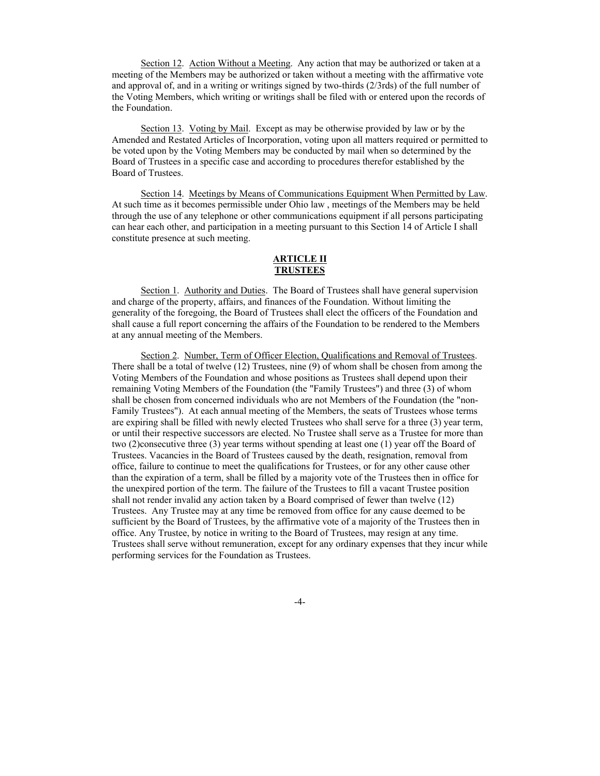Section 12. Action Without a Meeting. Any action that may be authorized or taken at a meeting of the Members may be authorized or taken without a meeting with the affirmative vote and approval of, and in a writing or writings signed by two-thirds (2/3rds) of the full number of the Voting Members, which writing or writings shall be filed with or entered upon the records of the Foundation.

Section 13. Voting by Mail. Except as may be otherwise provided by law or by the Amended and Restated Articles of Incorporation, voting upon all matters required or permitted to be voted upon by the Voting Members may be conducted by mail when so determined by the Board of Trustees in a specific case and according to procedures therefor established by the Board of Trustees.

Section 14. Meetings by Means of Communications Equipment When Permitted by Law. At such time as it becomes permissible under Ohio law , meetings of the Members may be held through the use of any telephone or other communications equipment if all persons participating can hear each other, and participation in a meeting pursuant to this Section 14 of Article I shall constitute presence at such meeting.

# **ARTICLE II TRUSTEES**

Section 1. Authority and Duties. The Board of Trustees shall have general supervision and charge of the property, affairs, and finances of the Foundation. Without limiting the generality of the foregoing, the Board of Trustees shall elect the officers of the Foundation and shall cause a full report concerning the affairs of the Foundation to be rendered to the Members at any annual meeting of the Members.

Section 2. Number, Term of Officer Election, Qualifications and Removal of Trustees. There shall be a total of twelve (12) Trustees, nine (9) of whom shall be chosen from among the Voting Members of the Foundation and whose positions as Trustees shall depend upon their remaining Voting Members of the Foundation (the "Family Trustees") and three (3) of whom shall be chosen from concerned individuals who are not Members of the Foundation (the "non-Family Trustees"). At each annual meeting of the Members, the seats of Trustees whose terms are expiring shall be filled with newly elected Trustees who shall serve for a three (3) year term, or until their respective successors are elected. No Trustee shall serve as a Trustee for more than two (2)consecutive three (3) year terms without spending at least one (1) year off the Board of Trustees. Vacancies in the Board of Trustees caused by the death, resignation, removal from office, failure to continue to meet the qualifications for Trustees, or for any other cause other than the expiration of a term, shall be filled by a majority vote of the Trustees then in office for the unexpired portion of the term. The failure of the Trustees to fill a vacant Trustee position shall not render invalid any action taken by a Board comprised of fewer than twelve (12) Trustees. Any Trustee may at any time be removed from office for any cause deemed to be sufficient by the Board of Trustees, by the affirmative vote of a majority of the Trustees then in office. Any Trustee, by notice in writing to the Board of Trustees, may resign at any time. Trustees shall serve without remuneration, except for any ordinary expenses that they incur while performing services for the Foundation as Trustees.

-4-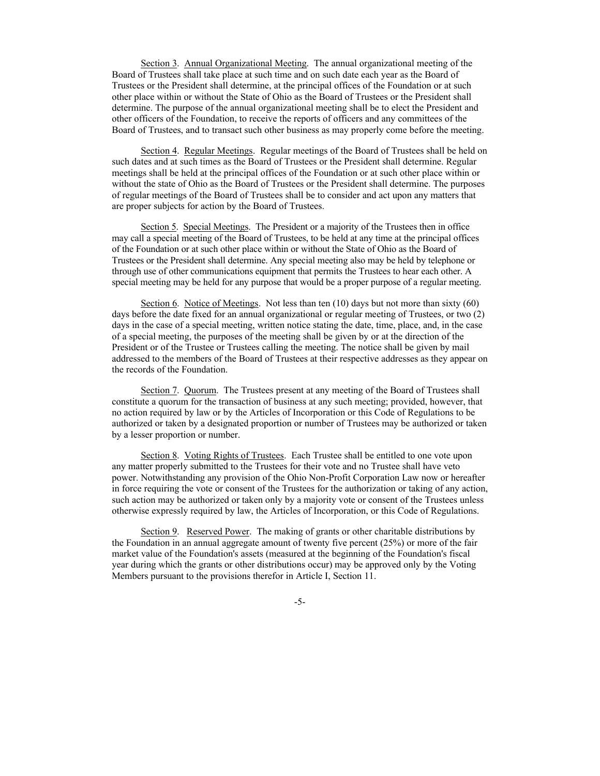Section 3. Annual Organizational Meeting. The annual organizational meeting of the Board of Trustees shall take place at such time and on such date each year as the Board of Trustees or the President shall determine, at the principal offices of the Foundation or at such other place within or without the State of Ohio as the Board of Trustees or the President shall determine. The purpose of the annual organizational meeting shall be to elect the President and other officers of the Foundation, to receive the reports of officers and any committees of the Board of Trustees, and to transact such other business as may properly come before the meeting.

Section 4. Regular Meetings. Regular meetings of the Board of Trustees shall be held on such dates and at such times as the Board of Trustees or the President shall determine. Regular meetings shall be held at the principal offices of the Foundation or at such other place within or without the state of Ohio as the Board of Trustees or the President shall determine. The purposes of regular meetings of the Board of Trustees shall be to consider and act upon any matters that are proper subjects for action by the Board of Trustees.

Section 5. Special Meetings. The President or a majority of the Trustees then in office may call a special meeting of the Board of Trustees, to be held at any time at the principal offices of the Foundation or at such other place within or without the State of Ohio as the Board of Trustees or the President shall determine. Any special meeting also may be held by telephone or through use of other communications equipment that permits the Trustees to hear each other. A special meeting may be held for any purpose that would be a proper purpose of a regular meeting.

Section 6. Notice of Meetings. Not less than ten (10) days but not more than sixty (60) days before the date fixed for an annual organizational or regular meeting of Trustees, or two (2) days in the case of a special meeting, written notice stating the date, time, place, and, in the case of a special meeting, the purposes of the meeting shall be given by or at the direction of the President or of the Trustee or Trustees calling the meeting. The notice shall be given by mail addressed to the members of the Board of Trustees at their respective addresses as they appear on the records of the Foundation.

Section 7. Quorum. The Trustees present at any meeting of the Board of Trustees shall constitute a quorum for the transaction of business at any such meeting; provided, however, that no action required by law or by the Articles of Incorporation or this Code of Regulations to be authorized or taken by a designated proportion or number of Trustees may be authorized or taken by a lesser proportion or number.

Section 8. Voting Rights of Trustees. Each Trustee shall be entitled to one vote upon any matter properly submitted to the Trustees for their vote and no Trustee shall have veto power. Notwithstanding any provision of the Ohio Non-Profit Corporation Law now or hereafter in force requiring the vote or consent of the Trustees for the authorization or taking of any action, such action may be authorized or taken only by a majority vote or consent of the Trustees unless otherwise expressly required by law, the Articles of Incorporation, or this Code of Regulations.

Section 9. Reserved Power. The making of grants or other charitable distributions by the Foundation in an annual aggregate amount of twenty five percent (25%) or more of the fair market value of the Foundation's assets (measured at the beginning of the Foundation's fiscal year during which the grants or other distributions occur) may be approved only by the Voting Members pursuant to the provisions therefor in Article I, Section 11.

-5-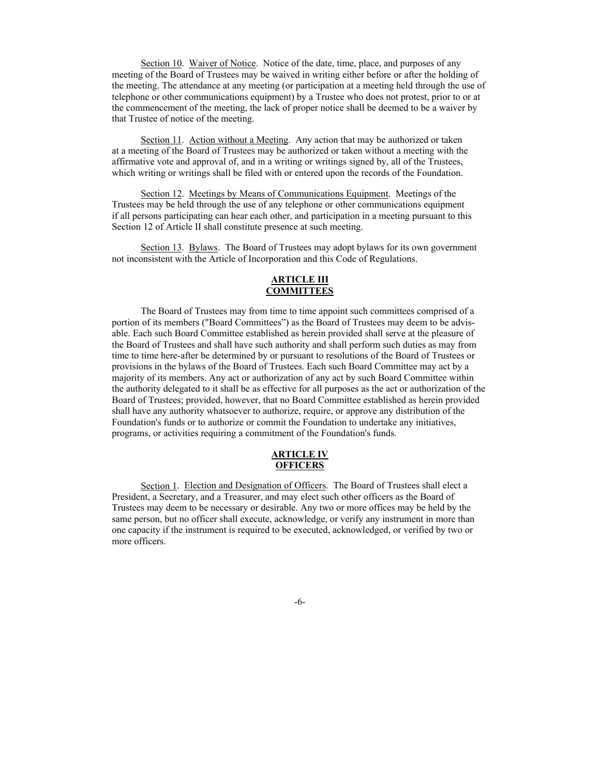Section 10. Waiver of Notice. Notice of the date, time, place, and purposes of any meeting of the Board of Trustees may be waived in writing either before or after the holding of the meeting. The attendance at any meeting (or participation at a meeting held through the use of telephone or other communications equipment) by a Trustee who does not protest, prior to or at the commencement of the meeting, the lack of proper notice shall be deemed to be a waiver by that Trustee of notice of the meeting.

Section 11. Action without a Meeting. Any action that may be authorized or taken at a meeting of the Board of Trustees may be authorized or taken without a meeting with the affirmative vote and approval of, and in a writing or writings signed by, all of the Trustees, which writing or writings shall be filed with or entered upon the records of the Foundation.

Section 12. Meetings by Means of Communications Equipment. Meetings of the Trustees may be held through the use of any telephone or other communications equipment if all persons participating can hear each other, and participation in a meeting pursuant to this Section 12 of Article II shall constitute presence at such meeting.

Section 13. Bylaws. The Board of Trustees may adopt bylaws for its own government not inconsistent with the Article of Incorporation and this Code of Regulations.

# **ARTICLE III COMMITTEES**

The Board of Trustees may from time to time appoint such committees comprised of a portion of its members ("Board Committees") as the Board of Trustees may deem to be advisable. Each such Board Committee established as herein provided shall serve at the pleasure of the Board of Trustees and shall have such authority and shall perform such duties as may from time to time here-after be determined by or pursuant to resolutions of the Board of Trustees or provisions in the bylaws of the Board of Trustees. Each such Board Committee may act by a majority of its members. Any act or authorization of any act by such Board Committee within the authority delegated to it shall be as effective for all purposes as the act or authorization of the Board of Trustees; provided, however, that no Board Committee established as herein provided shall have any authority whatsoever to authorize, require, or approve any distribution of the Foundation's funds or to authorize or commit the Foundation to undertake any initiatives, programs, or activities requiring a commitment of the Foundation's funds.

### **ARTICLE IV OFFICERS**

Section 1. Election and Designation of Officers. The Board of Trustees shall elect a President, a Secretary, and a Treasurer, and may elect such other officers as the Board of Trustees may deem to be necessary or desirable. Any two or more offices may be held by the same person, but no officer shall execute, acknowledge, or verify any instrument in more than one capacity if the instrument is required to be executed, acknowledged, or verified by two or more officers.

-6-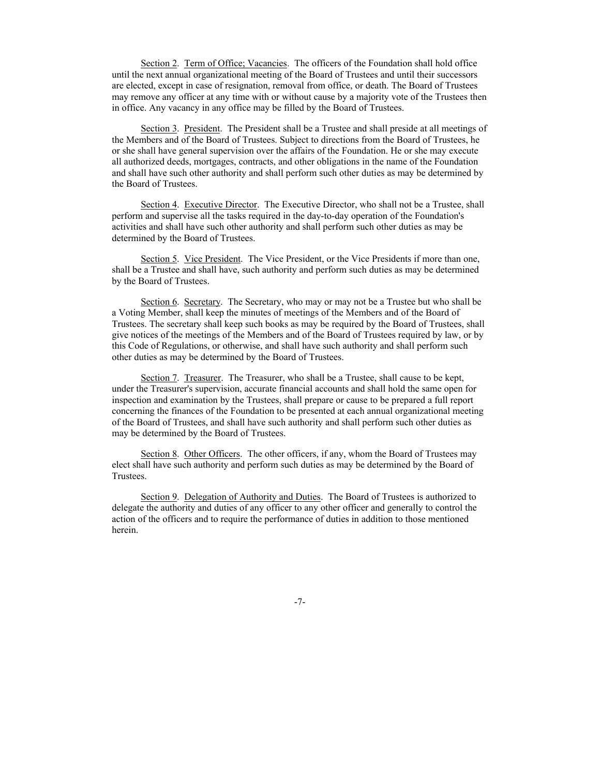Section 2. Term of Office; Vacancies. The officers of the Foundation shall hold office until the next annual organizational meeting of the Board of Trustees and until their successors are elected, except in case of resignation, removal from office, or death. The Board of Trustees may remove any officer at any time with or without cause by a majority vote of the Trustees then in office. Any vacancy in any office may be filled by the Board of Trustees.

Section 3. President. The President shall be a Trustee and shall preside at all meetings of the Members and of the Board of Trustees. Subject to directions from the Board of Trustees, he or she shall have general supervision over the affairs of the Foundation. He or she may execute all authorized deeds, mortgages, contracts, and other obligations in the name of the Foundation and shall have such other authority and shall perform such other duties as may be determined by the Board of Trustees.

Section 4. Executive Director. The Executive Director, who shall not be a Trustee, shall perform and supervise all the tasks required in the day-to-day operation of the Foundation's activities and shall have such other authority and shall perform such other duties as may be determined by the Board of Trustees.

Section 5. Vice President. The Vice President, or the Vice Presidents if more than one, shall be a Trustee and shall have, such authority and perform such duties as may be determined by the Board of Trustees.

Section 6. Secretary. The Secretary, who may or may not be a Trustee but who shall be a Voting Member, shall keep the minutes of meetings of the Members and of the Board of Trustees. The secretary shall keep such books as may be required by the Board of Trustees, shall give notices of the meetings of the Members and of the Board of Trustees required by law, or by this Code of Regulations, or otherwise, and shall have such authority and shall perform such other duties as may be determined by the Board of Trustees.

Section 7. Treasurer. The Treasurer, who shall be a Trustee, shall cause to be kept, under the Treasurer's supervision, accurate financial accounts and shall hold the same open for inspection and examination by the Trustees, shall prepare or cause to be prepared a full report concerning the finances of the Foundation to be presented at each annual organizational meeting of the Board of Trustees, and shall have such authority and shall perform such other duties as may be determined by the Board of Trustees.

Section 8. Other Officers. The other officers, if any, whom the Board of Trustees may elect shall have such authority and perform such duties as may be determined by the Board of Trustees.

Section 9. Delegation of Authority and Duties. The Board of Trustees is authorized to delegate the authority and duties of any officer to any other officer and generally to control the action of the officers and to require the performance of duties in addition to those mentioned herein.

-7-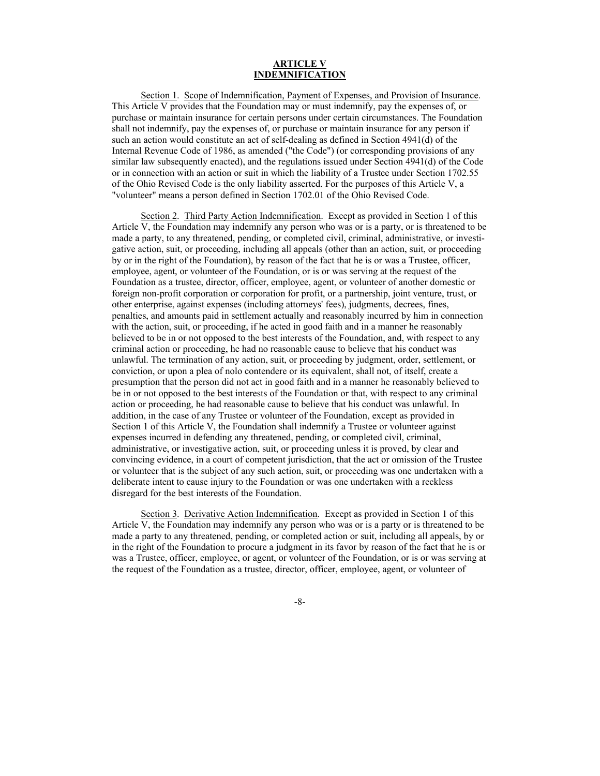# **ARTICLE V INDEMNIFICATION**

Section 1. Scope of Indemnification, Payment of Expenses, and Provision of Insurance. This Article V provides that the Foundation may or must indemnify, pay the expenses of, or purchase or maintain insurance for certain persons under certain circumstances. The Foundation shall not indemnify, pay the expenses of, or purchase or maintain insurance for any person if such an action would constitute an act of self-dealing as defined in Section 4941(d) of the Internal Revenue Code of 1986, as amended ("the Code") (or corresponding provisions of any similar law subsequently enacted), and the regulations issued under Section 4941(d) of the Code or in connection with an action or suit in which the liability of a Trustee under Section 1702.55 of the Ohio Revised Code is the only liability asserted. For the purposes of this Article V, a "volunteer" means a person defined in Section 1702.01 of the Ohio Revised Code.

Section 2. Third Party Action Indemnification. Except as provided in Section 1 of this Article V, the Foundation may indemnify any person who was or is a party, or is threatened to be made a party, to any threatened, pending, or completed civil, criminal, administrative, or investigative action, suit, or proceeding, including all appeals (other than an action, suit, or proceeding by or in the right of the Foundation), by reason of the fact that he is or was a Trustee, officer, employee, agent, or volunteer of the Foundation, or is or was serving at the request of the Foundation as a trustee, director, officer, employee, agent, or volunteer of another domestic or foreign non-profit corporation or corporation for profit, or a partnership, joint venture, trust, or other enterprise, against expenses (including attorneys' fees), judgments, decrees, fines, penalties, and amounts paid in settlement actually and reasonably incurred by him in connection with the action, suit, or proceeding, if he acted in good faith and in a manner he reasonably believed to be in or not opposed to the best interests of the Foundation, and, with respect to any criminal action or proceeding, he had no reasonable cause to believe that his conduct was unlawful. The termination of any action, suit, or proceeding by judgment, order, settlement, or conviction, or upon a plea of nolo contendere or its equivalent, shall not, of itself, create a presumption that the person did not act in good faith and in a manner he reasonably believed to be in or not opposed to the best interests of the Foundation or that, with respect to any criminal action or proceeding, he had reasonable cause to believe that his conduct was unlawful. In addition, in the case of any Trustee or volunteer of the Foundation, except as provided in Section 1 of this Article V, the Foundation shall indemnify a Trustee or volunteer against expenses incurred in defending any threatened, pending, or completed civil, criminal, administrative, or investigative action, suit, or proceeding unless it is proved, by clear and convincing evidence, in a court of competent jurisdiction, that the act or omission of the Trustee or volunteer that is the subject of any such action, suit, or proceeding was one undertaken with a deliberate intent to cause injury to the Foundation or was one undertaken with a reckless disregard for the best interests of the Foundation.

Section 3. Derivative Action Indemnification. Except as provided in Section 1 of this Article V, the Foundation may indemnify any person who was or is a party or is threatened to be made a party to any threatened, pending, or completed action or suit, including all appeals, by or in the right of the Foundation to procure a judgment in its favor by reason of the fact that he is or was a Trustee, officer, employee, or agent, or volunteer of the Foundation, or is or was serving at the request of the Foundation as a trustee, director, officer, employee, agent, or volunteer of

### -8-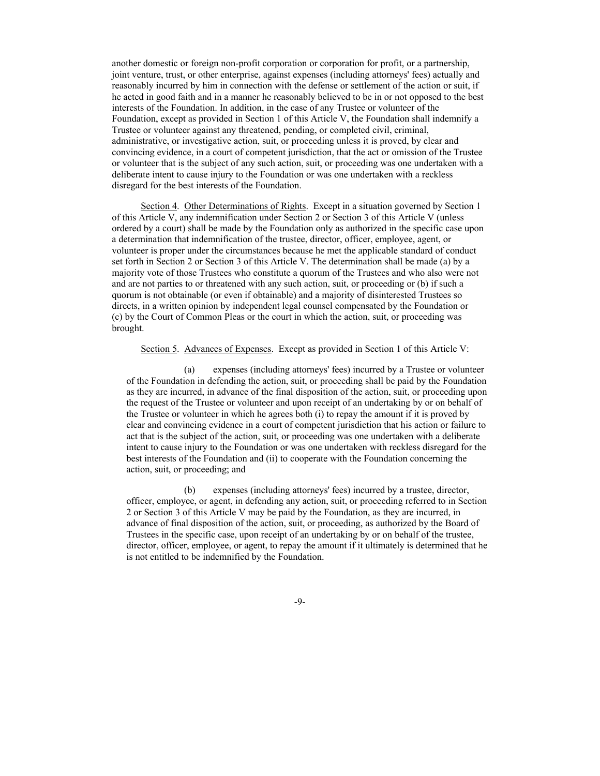another domestic or foreign non-profit corporation or corporation for profit, or a partnership, joint venture, trust, or other enterprise, against expenses (including attorneys' fees) actually and reasonably incurred by him in connection with the defense or settlement of the action or suit, if he acted in good faith and in a manner he reasonably believed to be in or not opposed to the best interests of the Foundation. In addition, in the case of any Trustee or volunteer of the Foundation, except as provided in Section 1 of this Article V, the Foundation shall indemnify a Trustee or volunteer against any threatened, pending, or completed civil, criminal, administrative, or investigative action, suit, or proceeding unless it is proved, by clear and convincing evidence, in a court of competent jurisdiction, that the act or omission of the Trustee or volunteer that is the subject of any such action, suit, or proceeding was one undertaken with a deliberate intent to cause injury to the Foundation or was one undertaken with a reckless disregard for the best interests of the Foundation.

Section 4. Other Determinations of Rights. Except in a situation governed by Section 1 of this Article V, any indemnification under Section 2 or Section 3 of this Article V (unless ordered by a court) shall be made by the Foundation only as authorized in the specific case upon a determination that indemnification of the trustee, director, officer, employee, agent, or volunteer is proper under the circumstances because he met the applicable standard of conduct set forth in Section 2 or Section 3 of this Article V. The determination shall be made (a) by a majority vote of those Trustees who constitute a quorum of the Trustees and who also were not and are not parties to or threatened with any such action, suit, or proceeding or (b) if such a quorum is not obtainable (or even if obtainable) and a majority of disinterested Trustees so directs, in a written opinion by independent legal counsel compensated by the Foundation or (c) by the Court of Common Pleas or the court in which the action, suit, or proceeding was brought.

### Section 5. Advances of Expenses. Except as provided in Section 1 of this Article V:

(a) expenses (including attorneys' fees) incurred by a Trustee or volunteer of the Foundation in defending the action, suit, or proceeding shall be paid by the Foundation as they are incurred, in advance of the final disposition of the action, suit, or proceeding upon the request of the Trustee or volunteer and upon receipt of an undertaking by or on behalf of the Trustee or volunteer in which he agrees both (i) to repay the amount if it is proved by clear and convincing evidence in a court of competent jurisdiction that his action or failure to act that is the subject of the action, suit, or proceeding was one undertaken with a deliberate intent to cause injury to the Foundation or was one undertaken with reckless disregard for the best interests of the Foundation and (ii) to cooperate with the Foundation concerning the action, suit, or proceeding; and

(b) expenses (including attorneys' fees) incurred by a trustee, director, officer, employee, or agent, in defending any action, suit, or proceeding referred to in Section 2 or Section 3 of this Article V may be paid by the Foundation, as they are incurred, in advance of final disposition of the action, suit, or proceeding, as authorized by the Board of Trustees in the specific case, upon receipt of an undertaking by or on behalf of the trustee, director, officer, employee, or agent, to repay the amount if it ultimately is determined that he is not entitled to be indemnified by the Foundation.

-9-